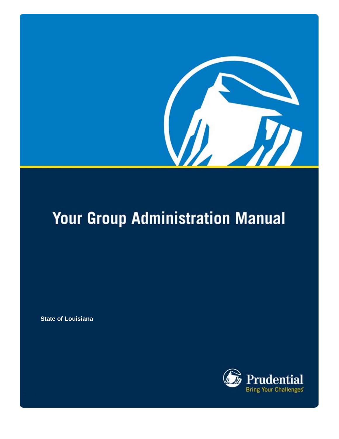

# **Your Group Administration Manual**

**State of Louisiana**

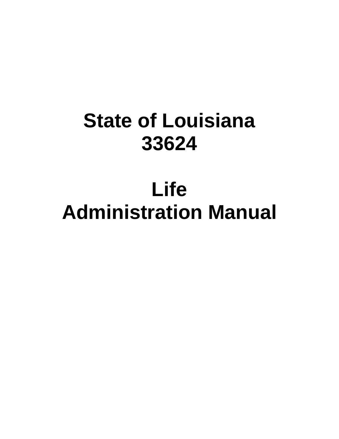# **State of Louisiana 33624**

# **Life Administration Manual**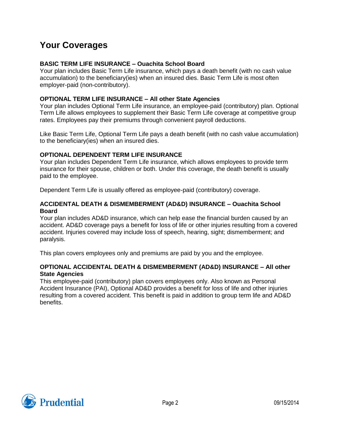## **Your Coverages**

#### **BASIC TERM LIFE INSURANCE – Ouachita School Board**

Your plan includes Basic Term Life insurance, which pays a death benefit (with no cash value accumulation) to the beneficiary(ies) when an insured dies. Basic Term Life is most often employer-paid (non-contributory).

#### **OPTIONAL TERM LIFE INSURANCE – All other State Agencies**

Your plan includes Optional Term Life insurance, an employee-paid (contributory) plan. Optional Term Life allows employees to supplement their Basic Term Life coverage at competitive group rates. Employees pay their premiums through convenient payroll deductions.

Like Basic Term Life, Optional Term Life pays a death benefit (with no cash value accumulation) to the beneficiary(ies) when an insured dies.

#### **OPTIONAL DEPENDENT TERM LIFE INSURANCE**

Your plan includes Dependent Term Life insurance, which allows employees to provide term insurance for their spouse, children or both. Under this coverage, the death benefit is usually paid to the employee.

Dependent Term Life is usually offered as employee-paid (contributory) coverage.

#### **ACCIDENTAL DEATH & DISMEMBERMENT (AD&D) INSURANCE – Ouachita School Board**

Your plan includes AD&D insurance, which can help ease the financial burden caused by an accident. AD&D coverage pays a benefit for loss of life or other injuries resulting from a covered accident. Injuries covered may include loss of speech, hearing, sight; dismemberment; and paralysis.

This plan covers employees only and premiums are paid by you and the employee.

#### **OPTIONAL ACCIDENTAL DEATH & DISMEMBERMENT (AD&D) INSURANCE – All other State Agencies**

This employee-paid (contributory) plan covers employees only. Also known as Personal Accident Insurance (PAI), Optional AD&D provides a benefit for loss of life and other injuries resulting from a covered accident. This benefit is paid in addition to group term life and AD&D benefits.

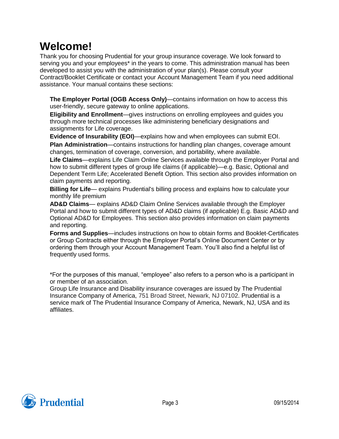# **Welcome!**

Thank you for choosing Prudential for your group insurance coverage. We look forward to serving you and your employees\* in the years to come. This administration manual has been developed to assist you with the administration of your plan(s). Please consult your Contract/Booklet Certificate or contact your Account Management Team if you need additional assistance. Your manual contains these sections:

**The Employer Portal (OGB Access Only)**—contains information on how to access this user-friendly, secure gateway to online applications.

**Eligibility and Enrollment**—gives instructions on enrolling employees and guides you through more technical processes like administering beneficiary designations and assignments for Life coverage.

**Evidence of Insurability (EOI)**—explains how and when employees can submit EOI. **Plan Administration**—contains instructions for handling plan changes, coverage amount changes, termination of coverage, conversion, and portability, where available.

**Life Claims**—explains Life Claim Online Services available through the Employer Portal and how to submit different types of group life claims (if applicable)—e.g. Basic, Optional and Dependent Term Life; Accelerated Benefit Option. This section also provides information on claim payments and reporting.

**Billing for Life**— explains Prudential's billing process and explains how to calculate your monthly life premium

**AD&D Claims**— explains AD&D Claim Online Services available through the Employer Portal and how to submit different types of AD&D claims (if applicable) E.g. Basic AD&D and Optional AD&D for Employees. This section also provides information on claim payments and reporting.

**Forms and Supplies**—includes instructions on how to obtain forms and Booklet-Certificates or Group Contracts either through the Employer Portal's Online Document Center or by ordering them through your Account Management Team. You'll also find a helpful list of frequently used forms.

\*For the purposes of this manual, "employee" also refers to a person who is a participant in or member of an association.

Group Life Insurance and Disability insurance coverages are issued by The Prudential Insurance Company of America, 751 Broad Street, Newark, NJ 07102. Prudential is a service mark of The Prudential Insurance Company of America, Newark, NJ, USA and its affiliates.

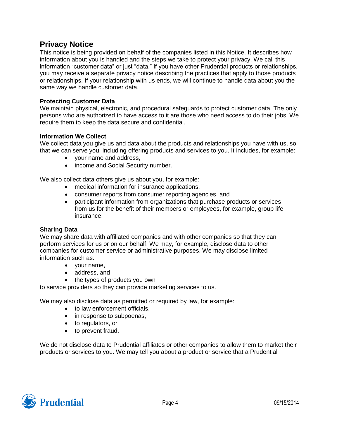## **Privacy Notice**

This notice is being provided on behalf of the companies listed in this Notice. It describes how information about you is handled and the steps we take to protect your privacy. We call this information "customer data" or just "data." If you have other Prudential products or relationships, you may receive a separate privacy notice describing the practices that apply to those products or relationships. If your relationship with us ends, we will continue to handle data about you the same way we handle customer data.

#### **Protecting Customer Data**

We maintain physical, electronic, and procedural safeguards to protect customer data. The only persons who are authorized to have access to it are those who need access to do their jobs. We require them to keep the data secure and confidential.

#### **Information We Collect**

We collect data you give us and data about the products and relationships you have with us, so that we can serve you, including offering products and services to you. It includes, for example:

- your name and address,
- income and Social Security number.

We also collect data others give us about you, for example:

- medical information for insurance applications,
- consumer reports from consumer reporting agencies, and
- participant information from organizations that purchase products or services from us for the benefit of their members or employees, for example, group life insurance.

#### **Sharing Data**

We may share data with affiliated companies and with other companies so that they can perform services for us or on our behalf. We may, for example, disclose data to other companies for customer service or administrative purposes. We may disclose limited information such as:

- your name,
- address, and
- the types of products you own

to service providers so they can provide marketing services to us.

We may also disclose data as permitted or required by law, for example:

- to law enforcement officials,
- in response to subpoenas,
- to regulators, or
- to prevent fraud.

We do not disclose data to Prudential affiliates or other companies to allow them to market their products or services to you. We may tell you about a product or service that a Prudential

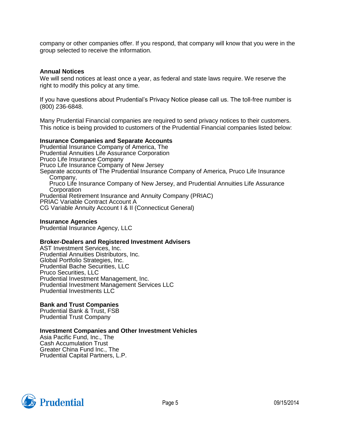company or other companies offer. If you respond, that company will know that you were in the group selected to receive the information.

#### **Annual Notices**

We will send notices at least once a year, as federal and state laws require. We reserve the right to modify this policy at any time.

If you have questions about Prudential's Privacy Notice please call us. The toll-free number is (800) 236-6848.

Many Prudential Financial companies are required to send privacy notices to their customers. This notice is being provided to customers of the Prudential Financial companies listed below:

#### **Insurance Companies and Separate Accounts**

Prudential Insurance Company of America, The Prudential Annuities Life Assurance Corporation Pruco Life Insurance Company Pruco Life Insurance Company of New Jersey Separate accounts of The Prudential Insurance Company of America, Pruco Life Insurance Company, Pruco Life Insurance Company of New Jersey, and Prudential Annuities Life Assurance **Corporation** Prudential Retirement Insurance and Annuity Company (PRIAC) PRIAC Variable Contract Account A CG Variable Annuity Account I & II (Connecticut General)

#### **Insurance Agencies**

Prudential Insurance Agency, LLC

#### **Broker-Dealers and Registered Investment Advisers**

AST Investment Services, Inc. Prudential Annuities Distributors, Inc. Global Portfolio Strategies, Inc. Prudential Bache Securities, LLC Pruco Securities, LLC Prudential Investment Management, Inc. Prudential Investment Management Services LLC Prudential Investments LLC

#### **Bank and Trust Companies**

Prudential Bank & Trust, FSB Prudential Trust Company

#### **Investment Companies and Other Investment Vehicles**

Asia Pacific Fund, Inc., The Cash Accumulation Trust Greater China Fund Inc., The Prudential Capital Partners, L.P.

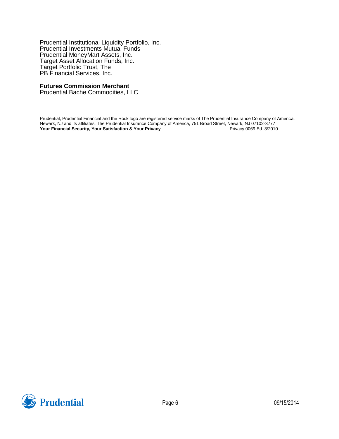Prudential Institutional Liquidity Portfolio, Inc. Prudential Investments Mutual Funds Prudential MoneyMart Assets, Inc. Target Asset Allocation Funds, Inc. Target Portfolio Trust, The PB Financial Services, Inc.

#### **Futures Commission Merchant**

Prudential Bache Commodities, LLC

Prudential, Prudential Financial and the Rock logo are registered service marks of The Prudential Insurance Company of America, Newark, NJ and its affiliates. The Prudential Insurance Company of America, 751 Broad Street, Newark, NJ 07102-3777<br>Your Financial Security, Your Satisfaction & Your Privacy<br>Privacy 0069 Ed. 3/2010 **Your Financial Security, Your Satisfaction & Your Privacy** 

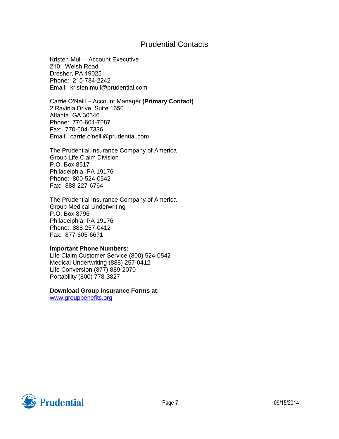## Prudential Contacts

Kristen Mull – Account Executive 2101 Welsh Road Dresher, PA 19025 Phone: 215-784-2242 Email: kristen.mull@prudential.com

Carrie O'Neill – Account Manager **(Primary Contact)** 2 Ravinia Drive, Suite 1650 Atlanta, GA 30346 Phone: 770-604-7087 Fax: 770-604-7336 Email: carrie.o'neill@prudential.com

The Prudential Insurance Company of America Group Life Claim Division P.O. Box 8517 Philadelphia, PA 19176 Phone: 800-524-0542 Fax: 888-227-6764

The Prudential Insurance Company of America Group Medical Underwriting P.O. Box 8796 Philadelphia, PA 19176 Phone: 888-257-0412 Fax: 877-605-6671

#### **Important Phone Numbers:**

Life Claim Customer Service (800) 524-0542 Medical Underwriting (888) 257-0412 Life Conversion (877) 889-2070 Portability (800) 778-3827

**Download Group Insurance Forms at:**

www.groupbenefits.org

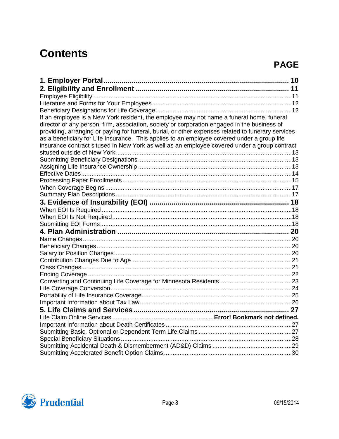# **Contents**

# **PAGE**

| If an employee is a New York resident, the employee may not name a funeral home, funeral           |  |
|----------------------------------------------------------------------------------------------------|--|
| director or any person, firm, association, society or corporation engaged in the business of       |  |
| providing, arranging or paying for funeral, burial, or other expenses related to funerary services |  |
| as a beneficiary for Life Insurance. This applies to an employee covered under a group life        |  |
| insurance contract sitused in New York as well as an employee covered under a group contract       |  |
|                                                                                                    |  |
|                                                                                                    |  |
|                                                                                                    |  |
|                                                                                                    |  |
|                                                                                                    |  |
|                                                                                                    |  |
|                                                                                                    |  |
|                                                                                                    |  |
|                                                                                                    |  |
|                                                                                                    |  |
|                                                                                                    |  |
|                                                                                                    |  |
|                                                                                                    |  |
|                                                                                                    |  |
|                                                                                                    |  |
|                                                                                                    |  |
|                                                                                                    |  |
|                                                                                                    |  |
|                                                                                                    |  |
|                                                                                                    |  |
|                                                                                                    |  |
|                                                                                                    |  |
|                                                                                                    |  |
|                                                                                                    |  |
|                                                                                                    |  |
|                                                                                                    |  |
|                                                                                                    |  |
|                                                                                                    |  |
|                                                                                                    |  |

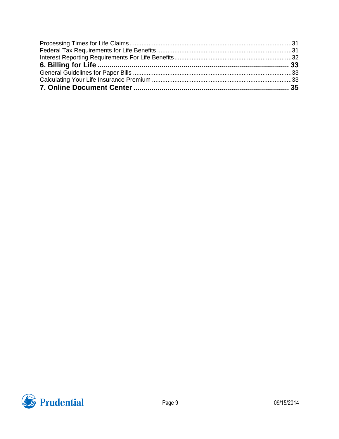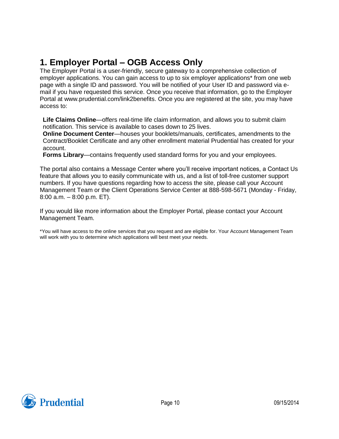## <span id="page-10-0"></span>**1. Employer Portal – OGB Access Only**

The Employer Portal is a user-friendly, secure gateway to a comprehensive collection of employer applications. You can gain access to up to six employer applications\* from one web page with a single ID and password. You will be notified of your User ID and password via email if you have requested this service. Once you receive that information, go to the Employer Portal at www.prudential.com/link2benefits. Once you are registered at the site, you may have access to:

**Life Claims Online**—offers real-time life claim information, and allows you to submit claim notification. This service is available to cases down to 25 lives.

**Online Document Center**—houses your booklets/manuals, certificates, amendments to the Contract/Booklet Certificate and any other enrollment material Prudential has created for your account.

**Forms Library**—contains frequently used standard forms for you and your employees.

The portal also contains a Message Center where you'll receive important notices, a Contact Us feature that allows you to easily communicate with us, and a list of toll-free customer support numbers. If you have questions regarding how to access the site, please call your Account Management Team or the Client Operations Service Center at 888-598-5671 (Monday - Friday, 8:00 a.m. – 8:00 p.m. ET).

If you would like more information about the Employer Portal, please contact your Account Management Team.

\*You will have access to the online services that you request and are eligible for. Your Account Management Team will work with you to determine which applications will best meet your needs.

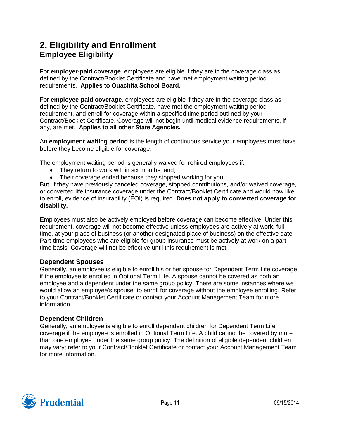## <span id="page-11-1"></span><span id="page-11-0"></span>**2. Eligibility and Enrollment Employee Eligibility**

For **employer-paid coverage**, employees are eligible if they are in the coverage class as defined by the Contract/Booklet Certificate and have met employment waiting period requirements. **Applies to Ouachita School Board.**

For **employee-paid coverage**, employees are eligible if they are in the coverage class as defined by the Contract/Booklet Certificate, have met the employment waiting period requirement, and enroll for coverage within a specified time period outlined by your Contract/Booklet Certificate. Coverage will not begin until medical evidence requirements, if any, are met. **Applies to all other State Agencies.**

An **employment waiting period** is the length of continuous service your employees must have before they become eligible for coverage.

The employment waiting period is generally waived for rehired employees if:

- They return to work within six months, and;
- Their coverage ended because they stopped working for you.

But, if they have previously canceled coverage, stopped contributions, and/or waived coverage, or converted life insurance coverage under the Contract/Booklet Certificate and would now like to enroll, evidence of insurability (EOI) is required. **Does not apply to converted coverage for disability.**

Employees must also be actively employed before coverage can become effective. Under this requirement, coverage will not become effective unless employees are actively at work, fulltime, at your place of business (or another designated place of business) on the effective date. Part-time employees who are eligible for group insurance must be actively at work on a parttime basis. Coverage will not be effective until this requirement is met.

## **Dependent Spouses**

Generally, an employee is eligible to enroll his or her spouse for Dependent Term Life coverage if the employee is enrolled in Optional Term Life. A spouse cannot be covered as both an employee and a dependent under the same group policy. There are some instances where we would allow an employee's spouse to enroll for coverage without the employee enrolling. Refer to your Contract/Booklet Certificate or contact your Account Management Team for more information.

#### **Dependent Children**

Generally, an employee is eligible to enroll dependent children for Dependent Term Life coverage if the employee is enrolled in Optional Term Life. A child cannot be covered by more than one employee under the same group policy. The definition of eligible dependent children may vary; refer to your Contract/Booklet Certificate or contact your Account Management Team for more information.

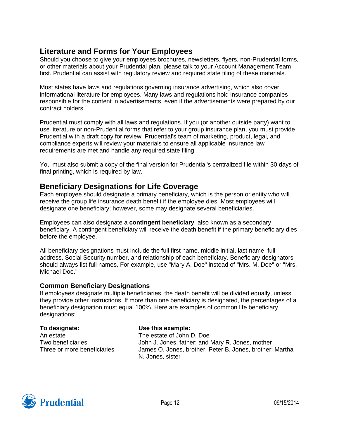## <span id="page-12-0"></span>**Literature and Forms for Your Employees**

Should you choose to give your employees brochures, newsletters, flyers, non-Prudential forms, or other materials about your Prudential plan, please talk to your Account Management Team first. Prudential can assist with regulatory review and required state filing of these materials.

Most states have laws and regulations governing insurance advertising, which also cover informational literature for employees. Many laws and regulations hold insurance companies responsible for the content in advertisements, even if the advertisements were prepared by our contract holders.

Prudential must comply with all laws and regulations. If you (or another outside party) want to use literature or non-Prudential forms that refer to your group insurance plan, you must provide Prudential with a draft copy for review. Prudential's team of marketing, product, legal, and compliance experts will review your materials to ensure all applicable insurance law requirements are met and handle any required state filing.

You must also submit a copy of the final version for Prudential's centralized file within 30 days of final printing, which is required by law.

## <span id="page-12-1"></span>**Beneficiary Designations for Life Coverage**

Each employee should designate a primary beneficiary, which is the person or entity who will receive the group life insurance death benefit if the employee dies. Most employees will designate one beneficiary; however, some may designate several beneficiaries.

Employees can also designate a **contingent beneficiary**, also known as a secondary beneficiary. A contingent beneficiary will receive the death benefit if the primary beneficiary dies before the employee.

All beneficiary designations must include the full first name, middle initial, last name, full address, Social Security number, and relationship of each beneficiary. Beneficiary designators should always list full names. For example, use "Mary A. Doe" instead of "Mrs. M. Doe" or "Mrs. Michael Doe."

## **Common Beneficiary Designations**

If employees designate multiple beneficiaries, the death benefit will be divided equally, unless they provide other instructions. If more than one beneficiary is designated, the percentages of a beneficiary designation must equal 100%. Here are examples of common life beneficiary designations:

**To designate:** An estate Two beneficiaries Three or more beneficiaries

## **Use this example:**

The estate of John D. Doe John J. Jones, father; and Mary R. Jones, mother James O. Jones, brother; Peter B. Jones, brother; Martha N. Jones, sister

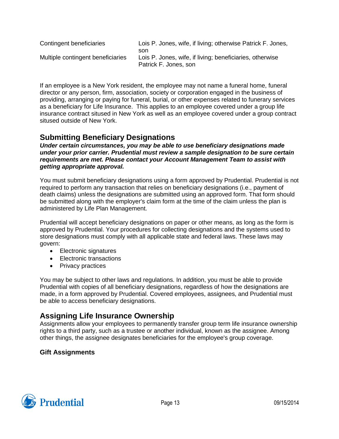| Contingent beneficiaries          | Lois P. Jones, wife, if living; otherwise Patrick F. Jones,                              |
|-----------------------------------|------------------------------------------------------------------------------------------|
| Multiple contingent beneficiaries | son<br>Lois P. Jones, wife, if living; beneficiaries, otherwise<br>Patrick F. Jones, son |

<span id="page-13-0"></span>If an employee is a New York resident, the employee may not name a funeral home, funeral director or any person, firm, association, society or corporation engaged in the business of providing, arranging or paying for funeral, burial, or other expenses related to funerary services as a beneficiary for Life Insurance. This applies to an employee covered under a group life insurance contract sitused in New York as well as an employee covered under a group contract sitused outside of New York.

## <span id="page-13-1"></span>**Submitting Beneficiary Designations**

*Under certain circumstances, you may be able to use beneficiary designations made under your prior carrier. Prudential must review a sample designation to be sure certain requirements are met. Please contact your Account Management Team to assist with getting appropriate approval.*

You must submit beneficiary designations using a form approved by Prudential. Prudential is not required to perform any transaction that relies on beneficiary designations (i.e., payment of death claims) unless the designations are submitted using an approved form. That form should be submitted along with the employer's claim form at the time of the claim unless the plan is administered by Life Plan Management.

Prudential will accept beneficiary designations on paper or other means, as long as the form is approved by Prudential. Your procedures for collecting designations and the systems used to store designations must comply with all applicable state and federal laws. These laws may govern:

- Electronic signatures
- Electronic transactions
- Privacy practices

You may be subject to other laws and regulations. In addition, you must be able to provide Prudential with copies of all beneficiary designations, regardless of how the designations are made, in a form approved by Prudential. Covered employees, assignees, and Prudential must be able to access beneficiary designations.

## <span id="page-13-2"></span>**Assigning Life Insurance Ownership**

Assignments allow your employees to permanently transfer group term life insurance ownership rights to a third party, such as a trustee or another individual, known as the assignee. Among other things, the assignee designates beneficiaries for the employee's group coverage.

## **Gift Assignments**

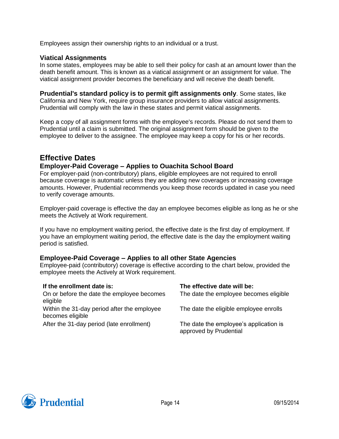Employees assign their ownership rights to an individual or a trust.

#### **Viatical Assignments**

In some states, employees may be able to sell their policy for cash at an amount lower than the death benefit amount. This is known as a viatical assignment or an assignment for value. The viatical assignment provider becomes the beneficiary and will receive the death benefit.

**Prudential's standard policy is to permit gift assignments only**. Some states, like California and New York, require group insurance providers to allow viatical assignments. Prudential will comply with the law in these states and permit viatical assignments.

Keep a copy of all assignment forms with the employee's records. Please do not send them to Prudential until a claim is submitted. The original assignment form should be given to the employee to deliver to the assignee. The employee may keep a copy for his or her records.

## <span id="page-14-0"></span>**Effective Dates**

## **Employer-Paid Coverage – Applies to Ouachita School Board**

For employer-paid (non-contributory) plans, eligible employees are not required to enroll because coverage is automatic unless they are adding new coverages or increasing coverage amounts. However, Prudential recommends you keep those records updated in case you need to verify coverage amounts.

Employer-paid coverage is effective the day an employee becomes eligible as long as he or she meets the Actively at Work requirement.

If you have no employment waiting period, the effective date is the first day of employment. If you have an employment waiting period, the effective date is the day the employment waiting period is satisfied.

## **Employee-Paid Coverage – Applies to all other State Agencies**

Employee-paid (contributory) coverage is effective according to the chart below, provided the employee meets the Actively at Work requirement.

| If the enrollment date is:                  | The effective date will be:                                      |
|---------------------------------------------|------------------------------------------------------------------|
| On or before the date the employee becomes  | The date the employee becomes eligible                           |
| eligible                                    |                                                                  |
| Within the 31-day period after the employee | The date the eligible employee enrolls                           |
| becomes eligible                            |                                                                  |
| After the 31-day period (late enrollment)   | The date the employee's application is<br>approved by Prudential |

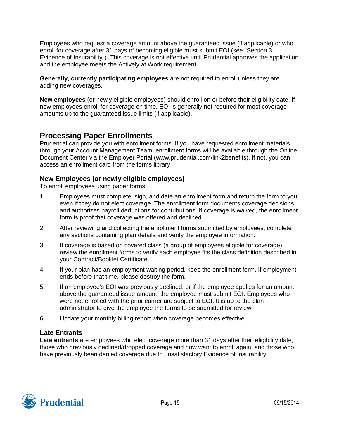Employees who request a coverage amount above the guaranteed issue (if applicable) or who enroll for coverage after 31 days of becoming eligible must submit EOI (see "Section 3: Evidence of Insurability"). This coverage is not effective until Prudential approves the application and the employee meets the Actively at Work requirement.

**Generally, currently participating employees** are not required to enroll unless they are adding new coverages.

**New employees** (or newly eligible employees) should enroll on or before their eligibility date. If new employees enroll for coverage on time, EOI is generally not required for most coverage amounts up to the guaranteed issue limits (if applicable).

## <span id="page-15-0"></span>**Processing Paper Enrollments**

Prudential can provide you with enrollment forms. If you have requested enrollment materials through your Account Management Team, enrollment forms will be available through the Online Document Center via the Employer Portal (www.prudential.com/link2benefits). If not, you can access an enrollment card from the forms library.

## **New Employees (or newly eligible employees)**

To enroll employees using paper forms:

- 1. Employees must complete, sign, and date an enrollment form and return the form to you, even if they do not elect coverage. The enrollment form documents coverage decisions and authorizes payroll deductions for contributions. If coverage is waived, the enrollment form is proof that coverage was offered and declined.
- 2. After reviewing and collecting the enrollment forms submitted by employees, complete any sections containing plan details and verify the employee information.
- 3. If coverage is based on covered class (a group of employees eligible for coverage), review the enrollment forms to verify each employee fits the class definition described in your Contract/Booklet Certificate.
- 4. If your plan has an employment waiting period, keep the enrollment form. If employment ends before that time, please destroy the form.
- 5. If an employee's EOI was previously declined, or if the employee applies for an amount above the guaranteed issue amount, the employee must submit EOI. Employees who were not enrolled with the prior carrier are subject to EOI. It is up to the plan administrator to give the employee the forms to be submitted for review.
- 6. Update your monthly billing report when coverage becomes effective.

## **Late Entrants**

**Late entrants** are employees who elect coverage more than 31 days after their eligibility date, those who previously declined/dropped coverage and now want to enroll again, and those who have previously been denied coverage due to unsatisfactory Evidence of Insurability.

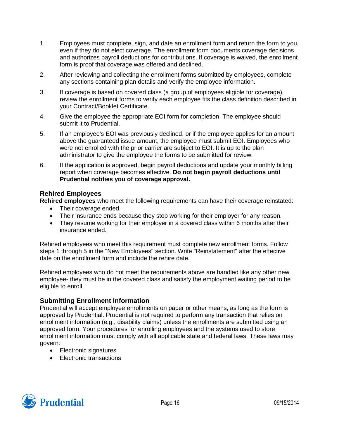- 1. Employees must complete, sign, and date an enrollment form and return the form to you, even if they do not elect coverage. The enrollment form documents coverage decisions and authorizes payroll deductions for contributions. If coverage is waived, the enrollment form is proof that coverage was offered and declined.
- 2. After reviewing and collecting the enrollment forms submitted by employees, complete any sections containing plan details and verify the employee information.
- 3. If coverage is based on covered class (a group of employees eligible for coverage), review the enrollment forms to verify each employee fits the class definition described in your Contract/Booklet Certificate.
- 4. Give the employee the appropriate EOI form for completion. The employee should submit it to Prudential.
- 5. If an employee's EOI was previously declined, or if the employee applies for an amount above the guaranteed issue amount, the employee must submit EOI. Employees who were not enrolled with the prior carrier are subject to EOI. It is up to the plan administrator to give the employee the forms to be submitted for review.
- 6. If the application is approved, begin payroll deductions and update your monthly billing report when coverage becomes effective. **Do not begin payroll deductions until Prudential notifies you of coverage approval.**

## **Rehired Employees**

**Rehired employees** who meet the following requirements can have their coverage reinstated:

- Their coverage ended.
- Their insurance ends because they stop working for their employer for any reason.
- They resume working for their employer in a covered class within 6 months after their insurance ended.

Rehired employees who meet this requirement must complete new enrollment forms. Follow steps 1 through 5 in the "New Employees" section. Write "Reinstatement" after the effective date on the enrollment form and include the rehire date.

Rehired employees who do not meet the requirements above are handled like any other new employee- they must be in the covered class and satisfy the employment waiting period to be eligible to enroll.

## **Submitting Enrollment Information**

Prudential will accept employee enrollments on paper or other means, as long as the form is approved by Prudential. Prudential is not required to perform any transaction that relies on enrollment information (e.g., disability claims) unless the enrollments are submitted using an approved form. Your procedures for enrolling employees and the systems used to store enrollment information must comply with all applicable state and federal laws. These laws may govern:

- Electronic signatures
- Electronic transactions

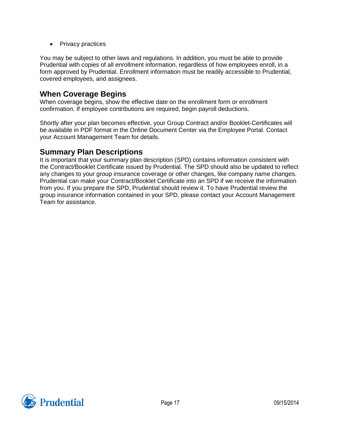• Privacy practices

You may be subject to other laws and regulations. In addition, you must be able to provide Prudential with copies of all enrollment information, regardless of how employees enroll, in a form approved by Prudential. Enrollment information must be readily accessible to Prudential, covered employees, and assignees.

## <span id="page-17-0"></span>**When Coverage Begins**

When coverage begins, show the effective date on the enrollment form or enrollment confirmation. If employee contributions are required, begin payroll deductions.

Shortly after your plan becomes effective, your Group Contract and/or Booklet-Certificates will be available in PDF format in the Online Document Center via the Employee Portal. Contact your Account Management Team for details.

## <span id="page-17-1"></span>**Summary Plan Descriptions**

It is important that your summary plan description (SPD) contains information consistent with the Contract/Booklet Certificate issued by Prudential. The SPD should also be updated to reflect any changes to your group insurance coverage or other changes, like company name changes. Prudential can make your Contract/Booklet Certificate into an SPD if we receive the information from you. If you prepare the SPD, Prudential should review it. To have Prudential review the group insurance information contained in your SPD, please contact your Account Management Team for assistance.

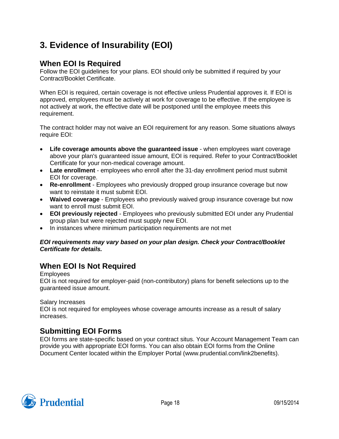# <span id="page-18-0"></span>**3. Evidence of Insurability (EOI)**

## <span id="page-18-1"></span>**When EOI Is Required**

Follow the EOI guidelines for your plans. EOI should only be submitted if required by your Contract/Booklet Certificate.

When EOI is required, certain coverage is not effective unless Prudential approves it. If EOI is approved, employees must be actively at work for coverage to be effective. If the employee is not actively at work, the effective date will be postponed until the employee meets this requirement.

The contract holder may not waive an EOI requirement for any reason. Some situations always require EOI:

- **Life coverage amounts above the guaranteed issue** when employees want coverage above your plan's guaranteed issue amount, EOI is required. Refer to your Contract/Booklet Certificate for your non-medical coverage amount.
- **Late enrollment** employees who enroll after the 31-day enrollment period must submit EOI for coverage.
- **Re-enrollment** Employees who previously dropped group insurance coverage but now want to reinstate it must submit EOI.
- **Waived coverage** Employees who previously waived group insurance coverage but now want to enroll must submit EOI.
- **EOI previously rejected** Employees who previously submitted EOI under any Prudential group plan but were rejected must supply new EOI.
- In instances where minimum participation requirements are not met

#### *EOI requirements may vary based on your plan design. Check your Contract/Booklet Certificate for details.*

## <span id="page-18-2"></span>**When EOI Is Not Required**

#### Employees

EOI is not required for employer-paid (non-contributory) plans for benefit selections up to the guaranteed issue amount.

## Salary Increases

EOI is not required for employees whose coverage amounts increase as a result of salary increases.

## <span id="page-18-3"></span>**Submitting EOI Forms**

EOI forms are state-specific based on your contract situs. Your Account Management Team can provide you with appropriate EOI forms. You can also obtain EOI forms from the Online Document Center located within the Employer Portal (www.prudential.com/link2benefits).

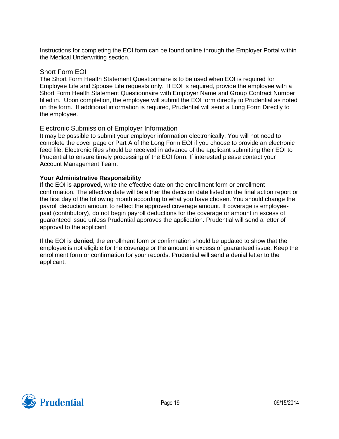Instructions for completing the EOI form can be found online through the Employer Portal within the Medical Underwriting section.

#### Short Form EOI

The Short Form Health Statement Questionnaire is to be used when EOI is required for Employee Life and Spouse Life requests only. If EOI is required, provide the employee with a Short Form Health Statement Questionnaire with Employer Name and Group Contract Number filled in. Upon completion, the employee will submit the EOI form directly to Prudential as noted on the form. If additional information is required, Prudential will send a Long Form Directly to the employee.

#### Electronic Submission of Employer Information

It may be possible to submit your employer information electronically. You will not need to complete the cover page or Part A of the Long Form EOI if you choose to provide an electronic feed file. Electronic files should be received in advance of the applicant submitting their EOI to Prudential to ensure timely processing of the EOI form. If interested please contact your Account Management Team.

#### **Your Administrative Responsibility**

If the EOI is **approved**, write the effective date on the enrollment form or enrollment confirmation. The effective date will be either the decision date listed on the final action report or the first day of the following month according to what you have chosen. You should change the payroll deduction amount to reflect the approved coverage amount. If coverage is employeepaid (contributory), do not begin payroll deductions for the coverage or amount in excess of guaranteed issue unless Prudential approves the application. Prudential will send a letter of approval to the applicant.

If the EOI is **denied**, the enrollment form or confirmation should be updated to show that the employee is not eligible for the coverage or the amount in excess of guaranteed issue. Keep the enrollment form or confirmation for your records. Prudential will send a denial letter to the applicant.

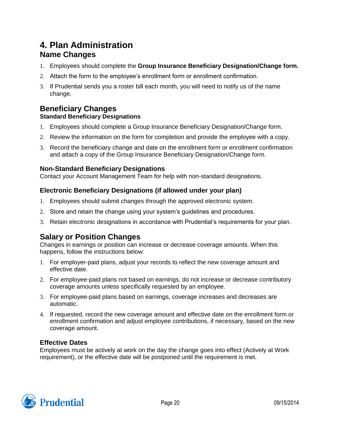## <span id="page-20-1"></span><span id="page-20-0"></span>**4. Plan Administration Name Changes**

- 1. Employees should complete the **Group Insurance Beneficiary Designation/Change form.**
- 2. Attach the form to the employee's enrollment form or enrollment confirmation.
- 3. If Prudential sends you a roster bill each month, you will need to notify us of the name change.

## <span id="page-20-2"></span>**Beneficiary Changes**

## **Standard Beneficiary Designations**

- 1. Employees should complete a Group Insurance Beneficiary Designation/Change form.
- 2. Review the information on the form for completion and provide the employee with a copy.
- 3. Record the beneficiary change and date on the enrollment form or enrollment confirmation and attach a copy of the Group Insurance Beneficiary Designation/Change form.

## **Non-Standard Beneficiary Designations**

Contact your Account Management Team for help with non-standard designations.

## **Electronic Beneficiary Designations (if allowed under your plan)**

- 1. Employees should submit changes through the approved electronic system.
- 2. Store and retain the change using your system's guidelines and procedures.
- 3. Retain electronic designations in accordance with Prudential's requirements for your plan.

## <span id="page-20-3"></span>**Salary or Position Changes**

Changes in earnings or position can increase or decrease coverage amounts. When this happens, follow the instructions below:

- 1. For employer-paid plans, adjust your records to reflect the new coverage amount and effective date.
- 2. For employee-paid plans not based on earnings, do not increase or decrease contributory coverage amounts unless specifically requested by an employee.
- 3. For employee-paid plans based on earnings, coverage increases and decreases are automatic.
- 4. If requested, record the new coverage amount and effective date on the enrollment form or enrollment confirmation and adjust employee contributions, if necessary, based on the new coverage amount.

## **Effective Dates**

Employees must be actively at work on the day the change goes into effect (Actively at Work requirement), or the effective date will be postponed until the requirement is met.

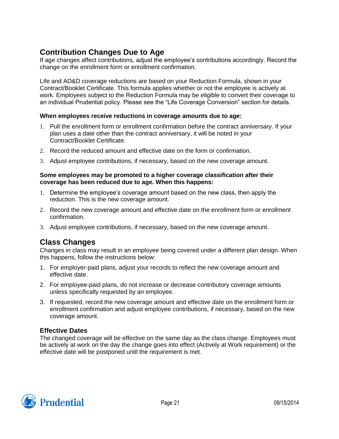## <span id="page-21-0"></span>**Contribution Changes Due to Age**

If age changes affect contributions, adjust the employee's contributions accordingly. Record the change on the enrollment form or enrollment confirmation.

Life and AD&D coverage reductions are based on your Reduction Formula, shown in your Contract/Booklet Certificate. This formula applies whether or not the employee is actively at work. Employees subject to the Reduction Formula may be eligible to convert their coverage to an individual Prudential policy. Please see the "Life Coverage Conversion" section for details.

#### **When employees receive reductions in coverage amounts due to age:**

- 1. Pull the enrollment form or enrollment confirmation before the contract anniversary. If your plan uses a date other than the contract anniversary, it will be noted in your Contract/Booklet Certificate.
- 2. Record the reduced amount and effective date on the form or confirmation.
- 3. Adjust employee contributions, if necessary, based on the new coverage amount.

#### **Some employees may be promoted to a higher coverage classification after their coverage has been reduced due to age. When this happens:**

- 1. Determine the employee's coverage amount based on the new class, then apply the reduction. This is the new coverage amount.
- 2. Record the new coverage amount and effective date on the enrollment form or enrollment confirmation.
- 3. Adjust employee contributions, if necessary, based on the new coverage amount.

## <span id="page-21-1"></span>**Class Changes**

Changes in class may result in an employee being covered under a different plan design. When this happens, follow the instructions below:

- 1. For employer-paid plans, adjust your records to reflect the new coverage amount and effective date.
- 2. For employee-paid plans, do not increase or decrease contributory coverage amounts unless specifically requested by an employee.
- 3. If requested, record the new coverage amount and effective date on the enrollment form or enrollment confirmation and adjust employee contributions, if necessary, based on the new coverage amount.

## **Effective Dates**

The changed coverage will be effective on the same day as the class change. Employees must be actively at work on the day the change goes into effect (Actively at Work requirement) or the effective date will be postponed until the requirement is met.

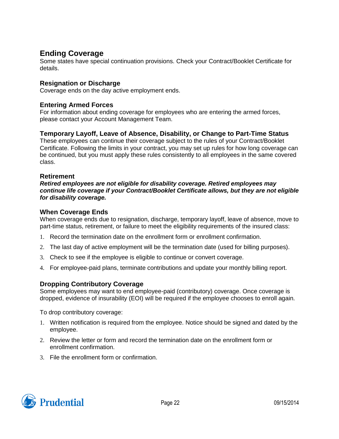## <span id="page-22-0"></span>**Ending Coverage**

Some states have special continuation provisions. Check your Contract/Booklet Certificate for details.

## **Resignation or Discharge**

Coverage ends on the day active employment ends.

## **Entering Armed Forces**

For information about ending coverage for employees who are entering the armed forces, please contact your Account Management Team.

## **Temporary Layoff, Leave of Absence, Disability, or Change to Part-Time Status**

These employees can continue their coverage subject to the rules of your Contract/Booklet Certificate. Following the limits in your contract, you may set up rules for how long coverage can be continued, but you must apply these rules consistently to all employees in the same covered class.

## **Retirement**

*Retired employees are not eligible for disability coverage. Retired employees may continue life coverage if your Contract/Booklet Certificate allows, but they are not eligible for disability coverage.*

#### **When Coverage Ends**

When coverage ends due to resignation, discharge, temporary layoff, leave of absence, move to part-time status, retirement, or failure to meet the eligibility requirements of the insured class:

- 1. Record the termination date on the enrollment form or enrollment confirmation.
- 2. The last day of active employment will be the termination date (used for billing purposes).
- 3. Check to see if the employee is eligible to continue or convert coverage.
- 4. For employee-paid plans, terminate contributions and update your monthly billing report.

## **Dropping Contributory Coverage**

Some employees may want to end employee-paid (contributory) coverage. Once coverage is dropped, evidence of insurability (EOI) will be required if the employee chooses to enroll again.

To drop contributory coverage:

- 1. Written notification is required from the employee. Notice should be signed and dated by the employee.
- 2. Review the letter or form and record the termination date on the enrollment form or enrollment confirmation.
- 3. File the enrollment form or confirmation.

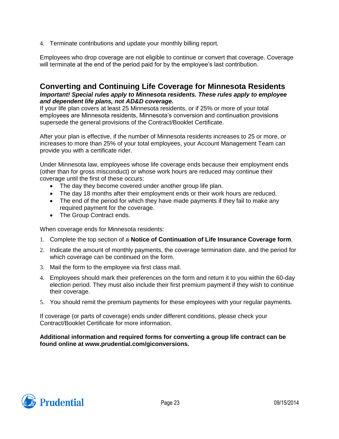4. Terminate contributions and update your monthly billing report.

Employees who drop coverage are not eligible to continue or convert that coverage. Coverage will terminate at the end of the period paid for by the employee's last contribution.

## <span id="page-23-0"></span>**Converting and Continuing Life Coverage for Minnesota Residents** *Important! Special rules apply to Minnesota residents. These rules apply to employee and dependent life plans, not AD&D coverage.*

If your life plan covers at least 25 Minnesota residents, or if 25% or more of your total employees are Minnesota residents, Minnesota's conversion and continuation provisions supersede the general provisions of the Contract/Booklet Certificate.

After your plan is effective, if the number of Minnesota residents increases to 25 or more, or increases to more than 25% of your total employees, your Account Management Team can provide you with a certificate rider.

Under Minnesota law, employees whose life coverage ends because their employment ends (other than for gross misconduct) or whose work hours are reduced may continue their coverage until the first of these occurs:

- The day they become covered under another group life plan.
- The day 18 months after their employment ends or their work hours are reduced.
- The end of the period for which they have made payments if they fail to make any required payment for the coverage.
- The Group Contract ends.

When coverage ends for Minnesota residents:

- 1. Complete the top section of a **Notice of Continuation of Life Insurance Coverage form**.
- 2. Indicate the amount of monthly payments, the coverage termination date, and the period for which coverage can be continued on the form.
- 3. Mail the form to the employee via first class mail.
- 4. Employees should mark their preferences on the form and return it to you within the 60-day election period. They must also include their first premium payment if they wish to continue their coverage.
- 5. You should remit the premium payments for these employees with your regular payments.

If coverage (or parts of coverage) ends under different conditions, please check your Contract/Booklet Certificate for more information.

#### **Additional information and required forms for converting a group life contract can be found online at www.prudential.com/giconversions.**

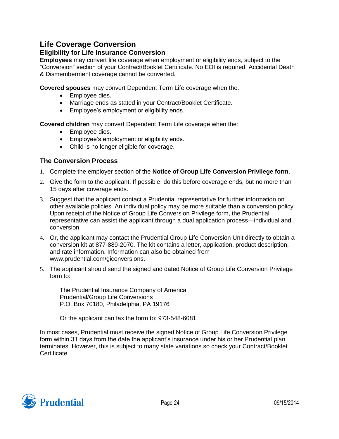## <span id="page-24-0"></span>**Life Coverage Conversion**

## **Eligibility for Life Insurance Conversion**

**Employees** may convert life coverage when employment or eligibility ends, subject to the "Conversion" section of your Contract/Booklet Certificate. No EOI is required. Accidental Death & Dismemberment coverage cannot be converted.

**Covered spouses** may convert Dependent Term Life coverage when the:

- Employee dies.
- Marriage ends as stated in your Contract/Booklet Certificate.
- Employee's employment or eligibility ends.

**Covered children** may convert Dependent Term Life coverage when the:

- Employee dies.
- Employee's employment or eligibility ends.
- Child is no longer eligible for coverage.

## **The Conversion Process**

- 1. Complete the employer section of the **Notice of Group Life Conversion Privilege form**.
- 2. Give the form to the applicant. If possible, do this before coverage ends, but no more than 15 days after coverage ends.
- 3. Suggest that the applicant contact a Prudential representative for further information on other available policies. An individual policy may be more suitable than a conversion policy. Upon receipt of the Notice of Group Life Conversion Privilege form, the Prudential representative can assist the applicant through a dual application process—individual and conversion.
- 4. Or, the applicant may contact the Prudential Group Life Conversion Unit directly to obtain a conversion kit at 877-889-2070. The kit contains a letter, application, product description, and rate information. Information can also be obtained from www.prudential.com/giconversions.
- 5. The applicant should send the signed and dated Notice of Group Life Conversion Privilege form to:

The Prudential Insurance Company of America Prudential/Group Life Conversions P.O. Box 70180, Philadelphia, PA 19176

Or the applicant can fax the form to: 973-548-6081.

In most cases, Prudential must receive the signed Notice of Group Life Conversion Privilege form within 31 days from the date the applicant's insurance under his or her Prudential plan terminates. However, this is subject to many state variations so check your Contract/Booklet Certificate.

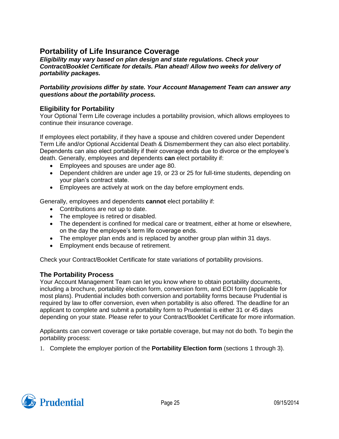## <span id="page-25-0"></span>**Portability of Life Insurance Coverage**

*Eligibility may vary based on plan design and state regulations. Check your Contract/Booklet Certificate for details. Plan ahead! Allow two weeks for delivery of portability packages.*

#### *Portability provisions differ by state. Your Account Management Team can answer any questions about the portability process.*

## **Eligibility for Portability**

Your Optional Term Life coverage includes a portability provision, which allows employees to continue their insurance coverage.

If employees elect portability, if they have a spouse and children covered under Dependent Term Life and/or Optional Accidental Death & Dismemberment they can also elect portability. Dependents can also elect portability if their coverage ends due to divorce or the employee's death. Generally, employees and dependents **can** elect portability if:

- Employees and spouses are under age 80.
- Dependent children are under age 19, or 23 or 25 for full-time students, depending on your plan's contract state.
- Employees are actively at work on the day before employment ends.

Generally, employees and dependents **cannot** elect portability if:

- Contributions are not up to date.
- The employee is retired or disabled.
- The dependent is confined for medical care or treatment, either at home or elsewhere, on the day the employee's term life coverage ends.
- The employer plan ends and is replaced by another group plan within 31 days.
- Employment ends because of retirement.

Check your Contract/Booklet Certificate for state variations of portability provisions.

#### **The Portability Process**

Your Account Management Team can let you know where to obtain portability documents, including a brochure, portability election form, conversion form, and EOI form (applicable for most plans). Prudential includes both conversion and portability forms because Prudential is required by law to offer conversion, even when portability is also offered. The deadline for an applicant to complete and submit a portability form to Prudential is either 31 or 45 days depending on your state. Please refer to your Contract/Booklet Certificate for more information.

Applicants can convert coverage or take portable coverage, but may not do both. To begin the portability process:

1. Complete the employer portion of the **Portability Election form** (sections 1 through 3).

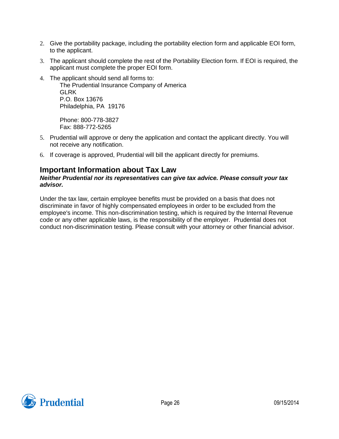- 2. Give the portability package, including the portability election form and applicable EOI form, to the applicant.
- 3. The applicant should complete the rest of the Portability Election form. If EOI is required, the applicant must complete the proper EOI form.
- 4. The applicant should send all forms to:

The Prudential Insurance Company of America **GLRK** P.O. Box 13676 Philadelphia, PA 19176

Phone: 800-778-3827 Fax: 888-772-5265

- 5. Prudential will approve or deny the application and contact the applicant directly. You will not receive any notification.
- 6. If coverage is approved, Prudential will bill the applicant directly for premiums.

## <span id="page-26-0"></span>**Important Information about Tax Law**

#### *Neither Prudential nor its representatives can give tax advice. Please consult your tax advisor.*

Under the tax law, certain employee benefits must be provided on a basis that does not discriminate in favor of highly compensated employees in order to be excluded from the employee's income. This non-discrimination testing, which is required by the Internal Revenue code or any other applicable laws, is the responsibility of the employer. Prudential does not conduct non-discrimination testing. Please consult with your attorney or other financial advisor.

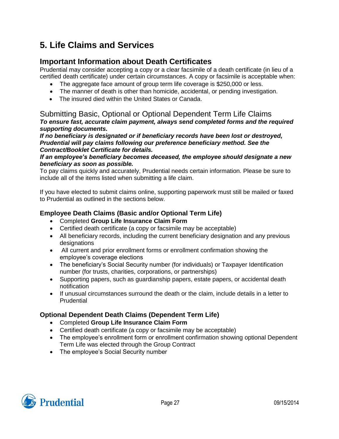# <span id="page-27-0"></span>**5. Life Claims and Services**

## <span id="page-27-1"></span>**Important Information about Death Certificates**

Prudential may consider accepting a copy or a clear facsimile of a death certificate (in lieu of a certified death certificate) under certain circumstances. A copy or facsimile is acceptable when:

- The aggregate face amount of group term life coverage is \$250,000 or less.
- The manner of death is other than homicide, accidental, or pending investigation.
- The insured died within the United States or Canada.

## <span id="page-27-2"></span>Submitting Basic, Optional or Optional Dependent Term Life Claims *To ensure fast, accurate claim payment, always send completed forms and the required supporting documents.*

*If no beneficiary is designated or if beneficiary records have been lost or destroyed, Prudential will pay claims following our preference beneficiary method. See the Contract/Booklet Certificate for details.*

#### *If an employee's beneficiary becomes deceased, the employee should designate a new beneficiary as soon as possible.*

To pay claims quickly and accurately, Prudential needs certain information. Please be sure to include all of the items listed when submitting a life claim.

If you have elected to submit claims online, supporting paperwork must still be mailed or faxed to Prudential as outlined in the sections below.

## **Employee Death Claims (Basic and/or Optional Term Life)**

- Completed **Group Life Insurance Claim Form**
- Certified death certificate (a copy or facsimile may be acceptable)
- All beneficiary records, including the current beneficiary designation and any previous designations
- All current and prior enrollment forms or enrollment confirmation showing the employee's coverage elections
- The beneficiary's Social Security number (for individuals) or Taxpayer Identification number (for trusts, charities, corporations, or partnerships)
- Supporting papers, such as guardianship papers, estate papers, or accidental death notification
- If unusual circumstances surround the death or the claim, include details in a letter to **Prudential**

## **Optional Dependent Death Claims (Dependent Term Life)**

- Completed **Group Life Insurance Claim Form**
- Certified death certificate (a copy or facsimile may be acceptable)
- The employee's enrollment form or enrollment confirmation showing optional Dependent Term Life was elected through the Group Contract
- The employee's Social Security number

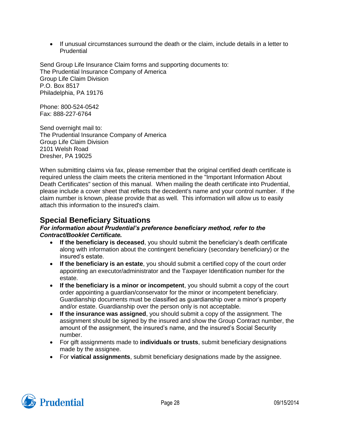• If unusual circumstances surround the death or the claim, include details in a letter to **Prudential** 

Send Group Life Insurance Claim forms and supporting documents to: The Prudential Insurance Company of America Group Life Claim Division P.O. Box 8517 Philadelphia, PA 19176

Phone: 800-524-0542 Fax: 888-227-6764

Send overnight mail to: The Prudential Insurance Company of America Group Life Claim Division 2101 Welsh Road Dresher, PA 19025

When submitting claims via fax, please remember that the original certified death certificate is required unless the claim meets the criteria mentioned in the "Important Information About Death Certificates" section of this manual. When mailing the death certificate into Prudential, please include a cover sheet that reflects the decedent's name and your control number. If the claim number is known, please provide that as well. This information will allow us to easily attach this information to the insured's claim.

## <span id="page-28-0"></span>**Special Beneficiary Situations**

#### *For information about Prudential's preference beneficiary method, refer to the Contract/Booklet Certificate.*

- **If the beneficiary is deceased**, you should submit the beneficiary's death certificate along with information about the contingent beneficiary (secondary beneficiary) or the insured's estate.
- **If the beneficiary is an estate**, you should submit a certified copy of the court order appointing an executor/administrator and the Taxpayer Identification number for the estate.
- **If the beneficiary is a minor or incompetent**, you should submit a copy of the court order appointing a guardian/conservator for the minor or incompetent beneficiary. Guardianship documents must be classified as guardianship over a minor's property and/or estate. Guardianship over the person only is not acceptable.
- **If the insurance was assigned**, you should submit a copy of the assignment. The assignment should be signed by the insured and show the Group Contract number, the amount of the assignment, the insured's name, and the insured's Social Security number.
- For gift assignments made to **individuals or trusts**, submit beneficiary designations made by the assignee.
- For **viatical assignments**, submit beneficiary designations made by the assignee.

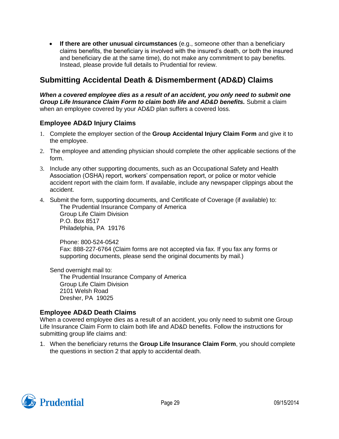**If there are other unusual circumstances** (e.g., someone other than a beneficiary claims benefits, the beneficiary is involved with the insured's death, or both the insured and beneficiary die at the same time), do not make any commitment to pay benefits. Instead, please provide full details to Prudential for review.

## <span id="page-29-0"></span>**Submitting Accidental Death & Dismemberment (AD&D) Claims**

When a covered employee dies as a result of an accident, you only need to submit one *Group Life Insurance Claim Form to claim both life and AD&D benefits.* Submit a claim when an employee covered by your AD&D plan suffers a covered loss.

## **Employee AD&D Injury Claims**

- 1. Complete the employer section of the **Group Accidental Injury Claim Form** and give it to the employee.
- 2. The employee and attending physician should complete the other applicable sections of the form.
- 3. Include any other supporting documents, such as an Occupational Safety and Health Association (OSHA) report, workers' compensation report, or police or motor vehicle accident report with the claim form. If available, include any newspaper clippings about the accident.
- 4. Submit the form, supporting documents, and Certificate of Coverage (if available) to:

The Prudential Insurance Company of America Group Life Claim Division P.O. Box 8517 Philadelphia, PA 19176

Phone: 800-524-0542 Fax: 888-227-6764 (Claim forms are not accepted via fax. If you fax any forms or supporting documents, please send the original documents by mail.)

Send overnight mail to:

The Prudential Insurance Company of America Group Life Claim Division 2101 Welsh Road Dresher, PA 19025

## **Employee AD&D Death Claims**

When a covered employee dies as a result of an accident, you only need to submit one Group Life Insurance Claim Form to claim both life and AD&D benefits. Follow the instructions for submitting group life claims and:

1. When the beneficiary returns the **Group Life Insurance Claim Form**, you should complete the questions in section 2 that apply to accidental death.

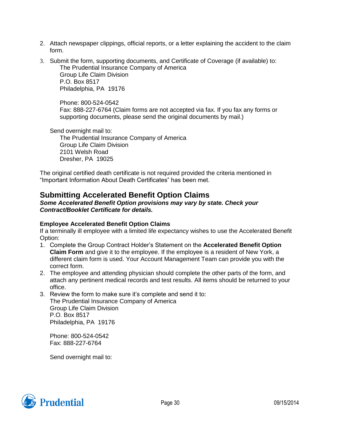- 2. Attach newspaper clippings, official reports, or a letter explaining the accident to the claim form.
- 3. Submit the form, supporting documents, and Certificate of Coverage (if available) to: The Prudential Insurance Company of America Group Life Claim Division

P.O. Box 8517 Philadelphia, PA 19176

Phone: 800-524-0542 Fax: 888-227-6764 (Claim forms are not accepted via fax. If you fax any forms or supporting documents, please send the original documents by mail.)

Send overnight mail to:

The Prudential Insurance Company of America Group Life Claim Division 2101 Welsh Road Dresher, PA 19025

The original certified death certificate is not required provided the criteria mentioned in "Important Information About Death Certificates" has been met.

## <span id="page-30-0"></span>**Submitting Accelerated Benefit Option Claims**

*Some Accelerated Benefit Option provisions may vary by state. Check your Contract/Booklet Certificate for details.*

## **Employee Accelerated Benefit Option Claims**

If a terminally ill employee with a limited life expectancy wishes to use the Accelerated Benefit Option:

- 1. Complete the Group Contract Holder's Statement on the **Accelerated Benefit Option Claim Form** and give it to the employee. If the employee is a resident of New York, a different claim form is used. Your Account Management Team can provide you with the correct form.
- 2. The employee and attending physician should complete the other parts of the form, and attach any pertinent medical records and test results. All items should be returned to your office.
- 3. Review the form to make sure it's complete and send it to: The Prudential Insurance Company of America Group Life Claim Division P.O. Box 8517 Philadelphia, PA 19176

Phone: 800-524-0542 Fax: 888-227-6764

Send overnight mail to:

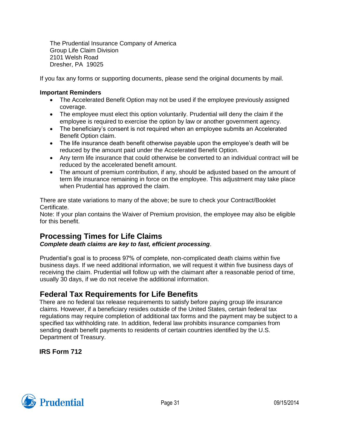The Prudential Insurance Company of America Group Life Claim Division 2101 Welsh Road Dresher, PA 19025

If you fax any forms or supporting documents, please send the original documents by mail.

#### **Important Reminders**

- The Accelerated Benefit Option may not be used if the employee previously assigned coverage.
- The employee must elect this option voluntarily. Prudential will deny the claim if the employee is required to exercise the option by law or another government agency.
- The beneficiary's consent is not required when an employee submits an Accelerated Benefit Option claim.
- The life insurance death benefit otherwise payable upon the employee's death will be reduced by the amount paid under the Accelerated Benefit Option.
- Any term life insurance that could otherwise be converted to an individual contract will be reduced by the accelerated benefit amount.
- The amount of premium contribution, if any, should be adjusted based on the amount of term life insurance remaining in force on the employee. This adjustment may take place when Prudential has approved the claim.

There are state variations to many of the above; be sure to check your Contract/Booklet Certificate.

Note: If your plan contains the Waiver of Premium provision, the employee may also be eligible for this benefit.

## <span id="page-31-0"></span>**Processing Times for Life Claims**

## *Complete death claims are key to fast, efficient processing*.

Prudential's goal is to process 97% of complete, non-complicated death claims within five business days. If we need additional information, we will request it within five business days of receiving the claim. Prudential will follow up with the claimant after a reasonable period of time, usually 30 days, if we do not receive the additional information.

## <span id="page-31-1"></span>**Federal Tax Requirements for Life Benefits**

There are no federal tax release requirements to satisfy before paying group life insurance claims. However, if a beneficiary resides outside of the United States, certain federal tax regulations may require completion of additional tax forms and the payment may be subject to a specified tax withholding rate. In addition, federal law prohibits insurance companies from sending death benefit payments to residents of certain countries identified by the U.S. Department of Treasury.

**IRS Form 712**

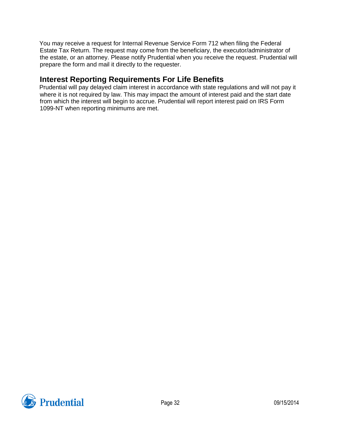You may receive a request for Internal Revenue Service Form 712 when filing the Federal Estate Tax Return. The request may come from the beneficiary, the executor/administrator of the estate, or an attorney. Please notify Prudential when you receive the request. Prudential will prepare the form and mail it directly to the requester.

## <span id="page-32-0"></span>**Interest Reporting Requirements For Life Benefits**

Prudential will pay delayed claim interest in accordance with state regulations and will not pay it where it is not required by law. This may impact the amount of interest paid and the start date from which the interest will begin to accrue. Prudential will report interest paid on IRS Form 1099-NT when reporting minimums are met.

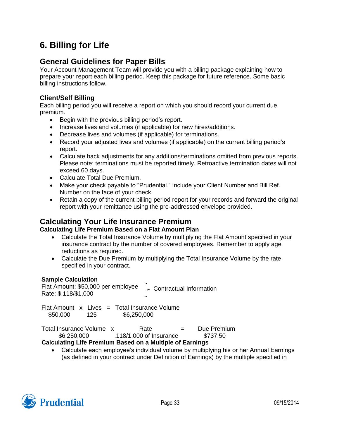# <span id="page-33-0"></span>**6. Billing for Life**

## <span id="page-33-1"></span>**General Guidelines for Paper Bills**

Your Account Management Team will provide you with a billing package explaining how to prepare your report each billing period. Keep this package for future reference. Some basic billing instructions follow.

## **Client/Self Billing**

Each billing period you will receive a report on which you should record your current due premium.

- Begin with the previous billing period's report.
- Increase lives and volumes (if applicable) for new hires/additions.
- Decrease lives and volumes (if applicable) for terminations.
- Record your adjusted lives and volumes (if applicable) on the current billing period's report.
- Calculate back adjustments for any additions/terminations omitted from previous reports. Please note: terminations must be reported timely. Retroactive termination dates will not exceed 60 days.
- Calculate Total Due Premium.
- Make your check payable to "Prudential." Include your Client Number and Bill Ref. Number on the face of your check.
- Retain a copy of the current billing period report for your records and forward the original report with your remittance using the pre-addressed envelope provided.

## <span id="page-33-2"></span>**Calculating Your Life Insurance Premium**

## **Calculating Life Premium Based on a Flat Amount Plan**

- Calculate the Total Insurance Volume by multiplying the Flat Amount specified in your insurance contract by the number of covered employees. Remember to apply age reductions as required.
- Calculate the Due Premium by multiplying the Total Insurance Volume by the rate specified in your contract.

## **Sample Calculation**

Flat Amount: \$50,000 per employee Rate: \$.118/\$1,000 Contractual Information

Flat Amount  $x$  Lives = Total Insurance Volume \$50,000 125 \$6,250,000

Total Insurance Volume x Rate = Due Premium \$6,250,000 .118/1,000 of Insurance \$737.50

## **Calculating Life Premium Based on a Multiple of Earnings**

 Calculate each employee's individual volume by multiplying his or her Annual Earnings (as defined in your contract under Definition of Earnings) by the multiple specified in

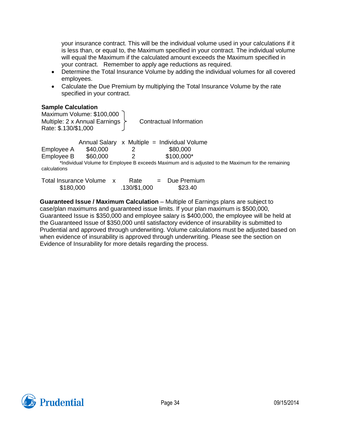your insurance contract. This will be the individual volume used in your calculations if it is less than, or equal to, the Maximum specified in your contract. The individual volume will equal the Maximum if the calculated amount exceeds the Maximum specified in your contract. Remember to apply age reductions as required.

- Determine the Total Insurance Volume by adding the individual volumes for all covered employees.
- Calculate the Due Premium by multiplying the Total Insurance Volume by the rate specified in your contract.

#### **Sample Calculation**

Maximum Volume: \$100,000 Multiple: 2 x Annual Earnings  $\overline{\phantom{a}}$  Contractual Information Rate: \$.130/\$1,000

Annual Salary  $x$  Multiple = Individual Volume Employee A \$40,000 2 \$80,000 Employee B \$60,000 2 \$100,000\* \*Individual Volume for Employee B exceeds Maximum and is adjusted to the Maximum for the remaining calculations

| Total Insurance Volume | Rate         | Due Premium |
|------------------------|--------------|-------------|
| \$180,000              | .130/\$1,000 | \$23.40     |

**Guaranteed Issue / Maximum Calculation** – Multiple of Earnings plans are subject to case/plan maximums and guaranteed issue limits. If your plan maximum is \$500,000, Guaranteed Issue is \$350,000 and employee salary is \$400,000, the employee will be held at the Guaranteed Issue of \$350,000 until satisfactory evidence of insurability is submitted to Prudential and approved through underwriting. Volume calculations must be adjusted based on when evidence of insurability is approved through underwriting. Please see the section on Evidence of Insurability for more details regarding the process.